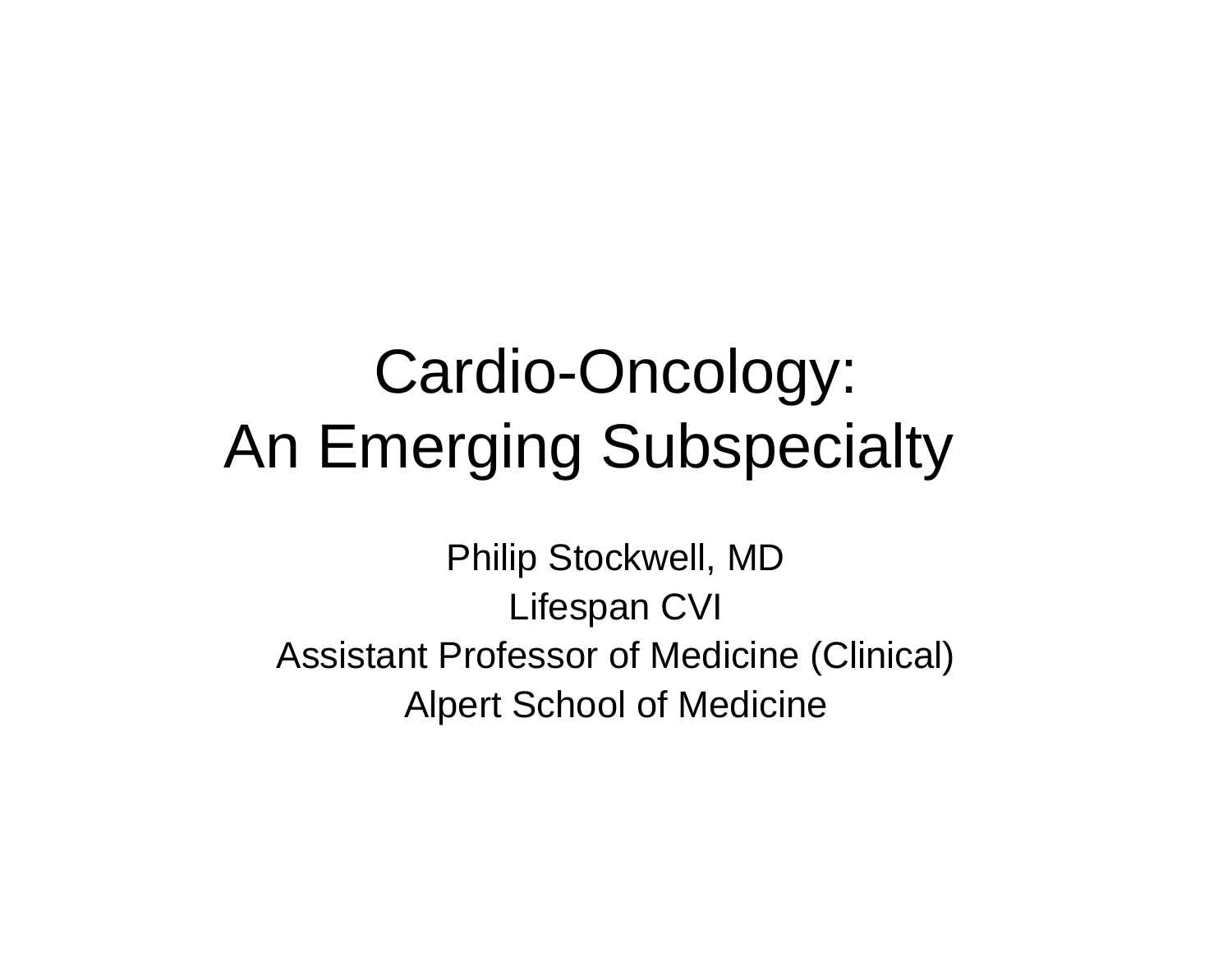## Cardio-Oncology: An Emerging Subspecialty

Philip Stockwell, MD Lifespan CVI Assistant Professor of Medicine (Clinical) Alpert School of Medicine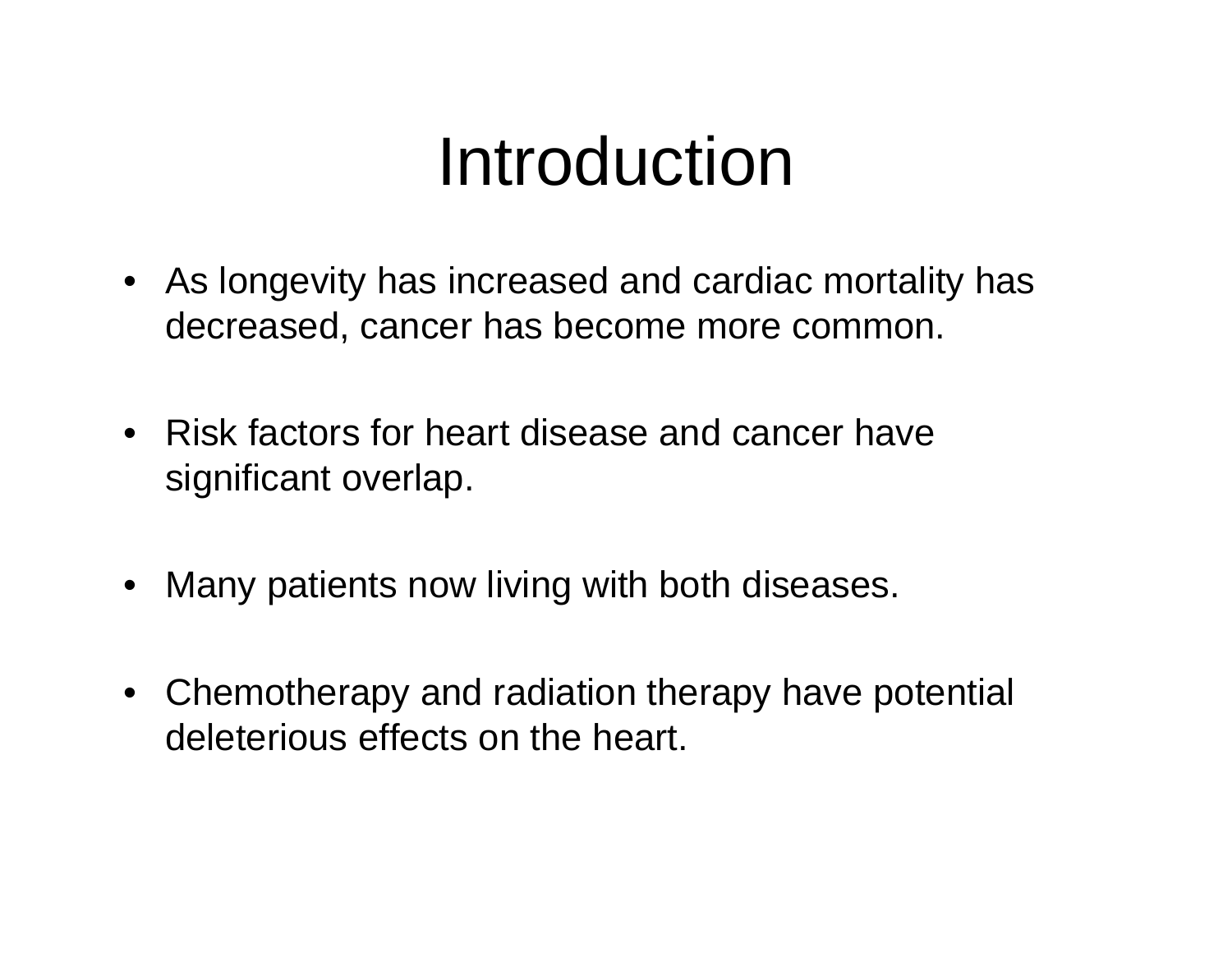# Introduction

- As longevity has increased and cardiac mortality has decreased, cancer has become more common.
- Risk factors for heart disease and cancer have significant overlap.
- $\bullet$ Many patients now living with both diseases.
- Chemotherapy and radiation therapy have potential deleterious effects on the heart.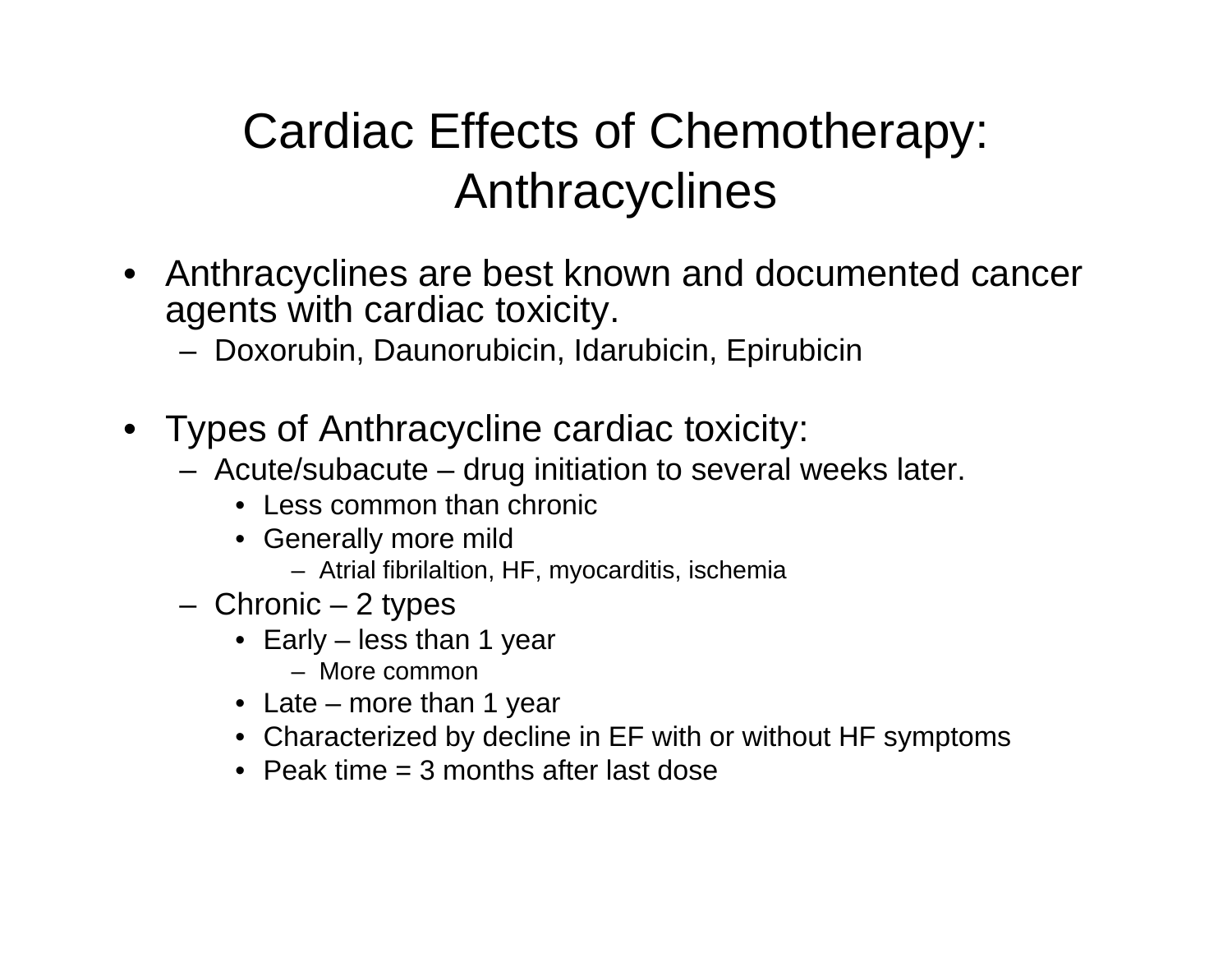## Cardiac Effects of Chemotherapy: Anthracyclines

- Anthracyclines are best known and documented cancer agents with cardiac toxicity.
	- Doxorubin, Daunorubicin, Idarubicin, Epirubicin
- Types of Anthracycline cardiac toxicity:
	- Acute/subacute drug initiation to several weeks later.
		- Less common than chronic
		- Generally more mild
			- Atrial fibrilaltion, HF, myocarditis, ischemia
	- Chronic 2 types
		- Early less than 1 year
			- More common
		- Late more than 1 year
		- Characterized by decline in EF with or without HF symptoms
		- Peak time = 3 months after last dose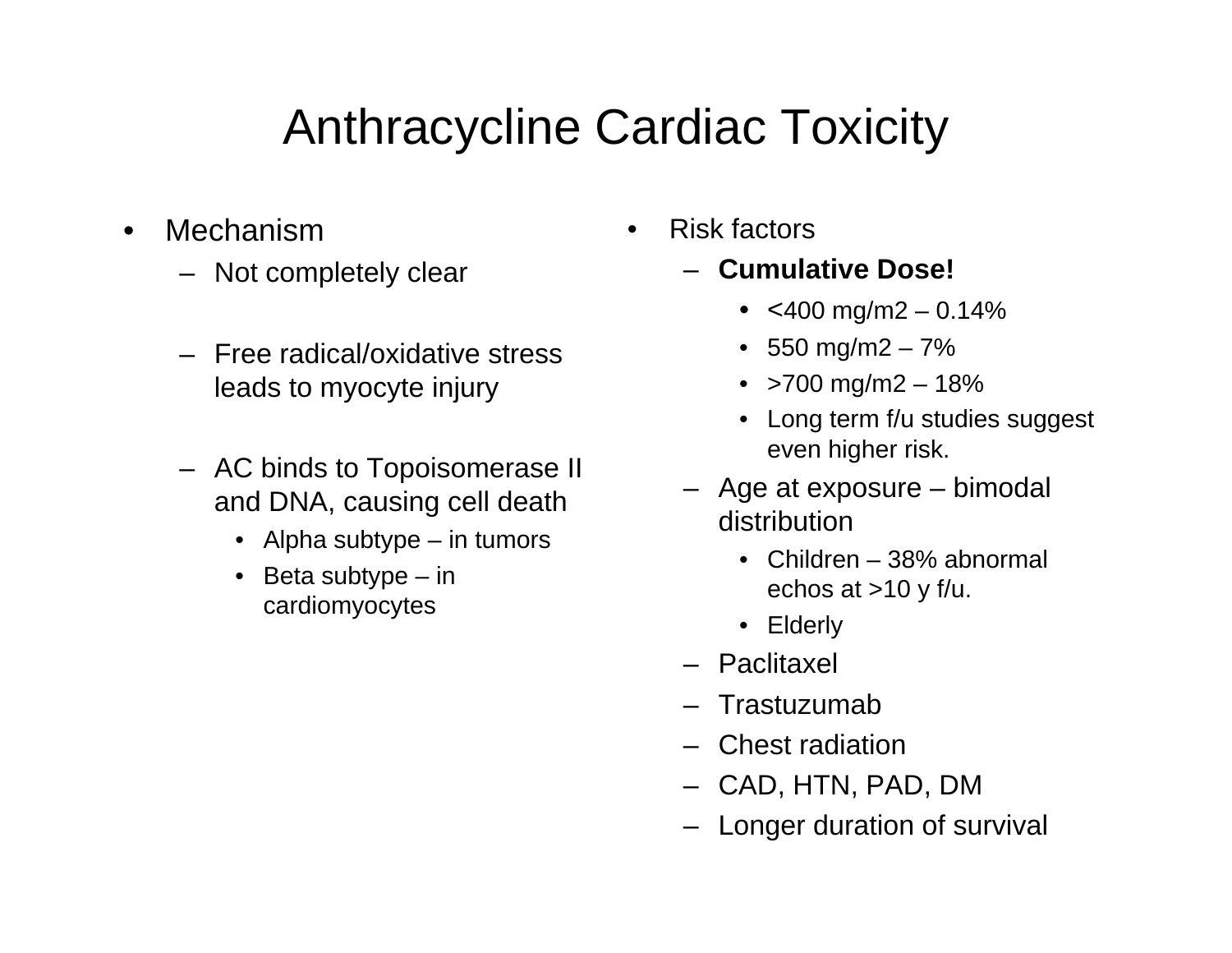## Anthracycline Cardiac Toxicity

- • Mechanism
	- Not completely clear
	- Free radical/oxidative stress leads to myocyte injury
	- AC binds to Topoisomerase II and DNA, causing cell death
		- Alpha subtype in tumors
		- Beta subtype in cardiomyocytes
- • Risk factors
	- **Cumulative Dose!**
		- <400 mg/m2 0.14%
		- 550 mg/m2 7%
		- >700 mg/m2 18%
		- Long term f/u studies suggest even higher risk.
	- Age at exposure bimodal distribution
		- Children 38% abnormal echos at  $>10$  y f/u.
		- Elderly
	- Paclitaxel
	- Trastuzumab
	- Chest radiation
	- CAD, HTN, PAD, DM
	- Longer duration of survival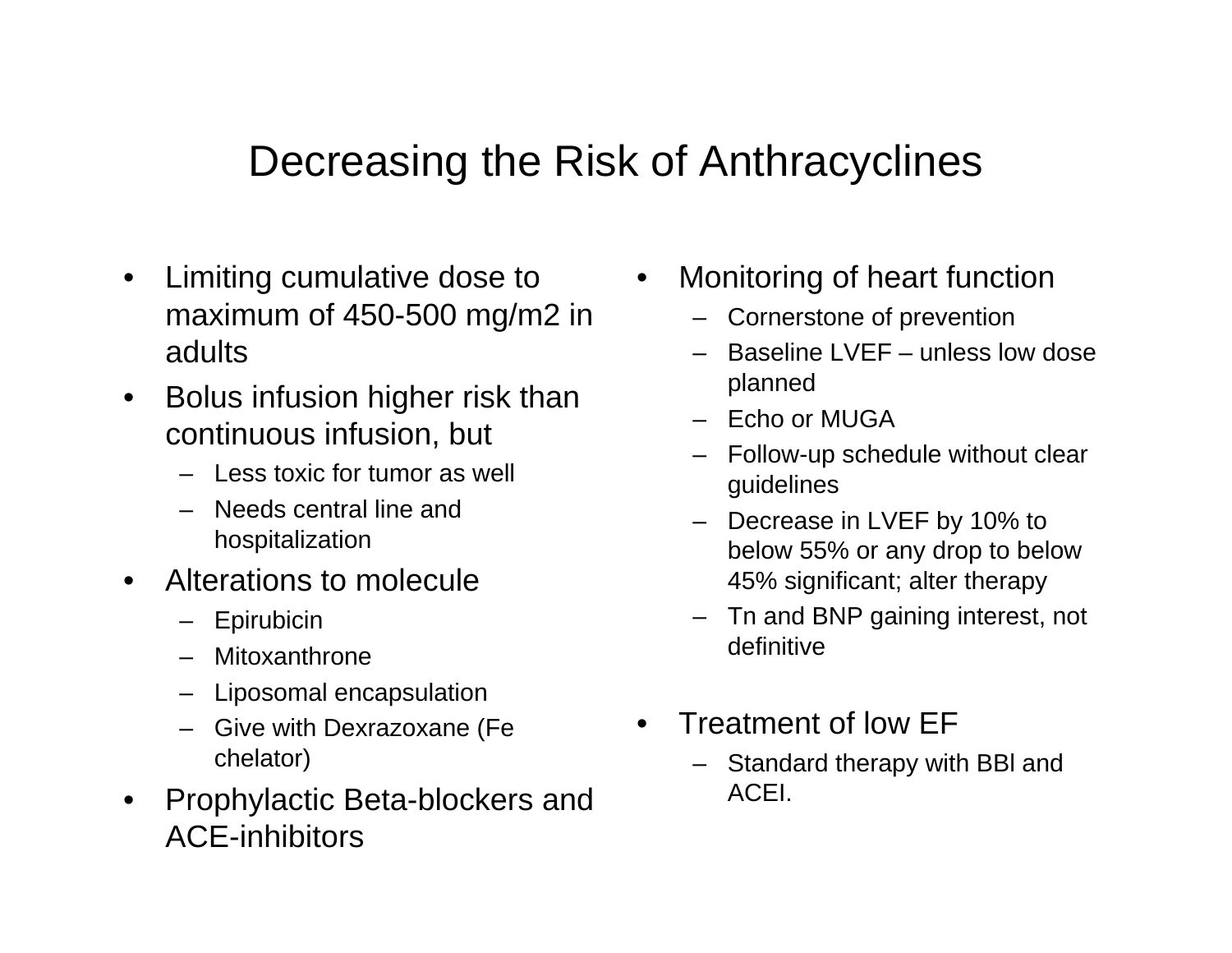#### Decreasing the Risk of Anthracyclines

- $\bullet$  Limiting cumulative dose to maximum of 450-500 mg/m2 in adults
- $\bullet$  Bolus infusion higher risk than continuous infusion, but
	- Less toxic for tumor as well
	- Needs central line and hospitalization
- $\bullet$  Alterations to molecule
	- Epirubicin
	- Mitoxanthrone
	- Liposomal encapsulation
	- Give with Dexrazoxane (Fe chelator)
- $\bullet$  Prophylactic Beta-blockers and ACE-inhibitors
- • Monitoring of heart function
	- Cornerstone of prevention
	- Baseline LVEF unless low dose planned
	- Echo or MUGA
	- Follow-up schedule without clear guidelines
	- Decrease in LVEF by 10% to below 55% or any drop to below 45% significant; alter therapy
	- Tn and BNP gaining interest, not definitive
- • Treatment of low EF
	- Standard therapy with BBl and ACEI.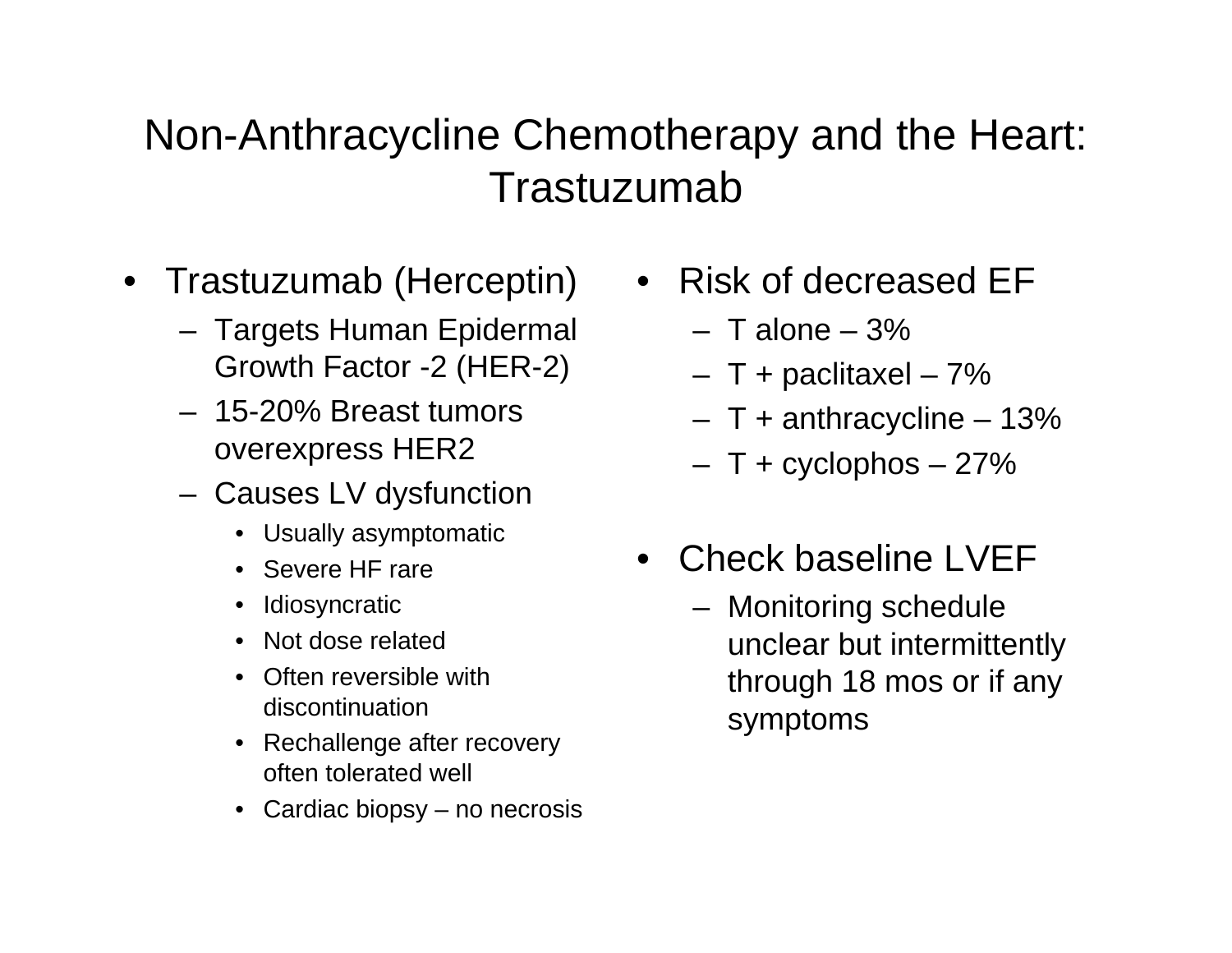#### Non-Anthracycline Chemotherapy and the Heart: Trastuzumab

- Trastuzumab (Herceptin)
	- Targets Human Epidermal Growth Factor -2 (HER-2)
	- 15-20% Breast tumors overexpress HER2
	- Causes LV dysfunction
		- Usually asymptomatic
		- Severe HF rare
		- •Idiosyncratic
		- •Not dose related
		- $\bullet$  Often reversible with discontinuation
		- Rechallenge after recovery often tolerated well
		- Cardiac biopsy no necrosis
- Risk of decreased EF
	- T alone 3%
	- T + paclitaxel 7%
	- T + anthracycline 13%
	- T + cyclophos 27%
- Check baseline LVEF
	- Monitoring schedule unclear but intermittently through 18 mos or if any symptoms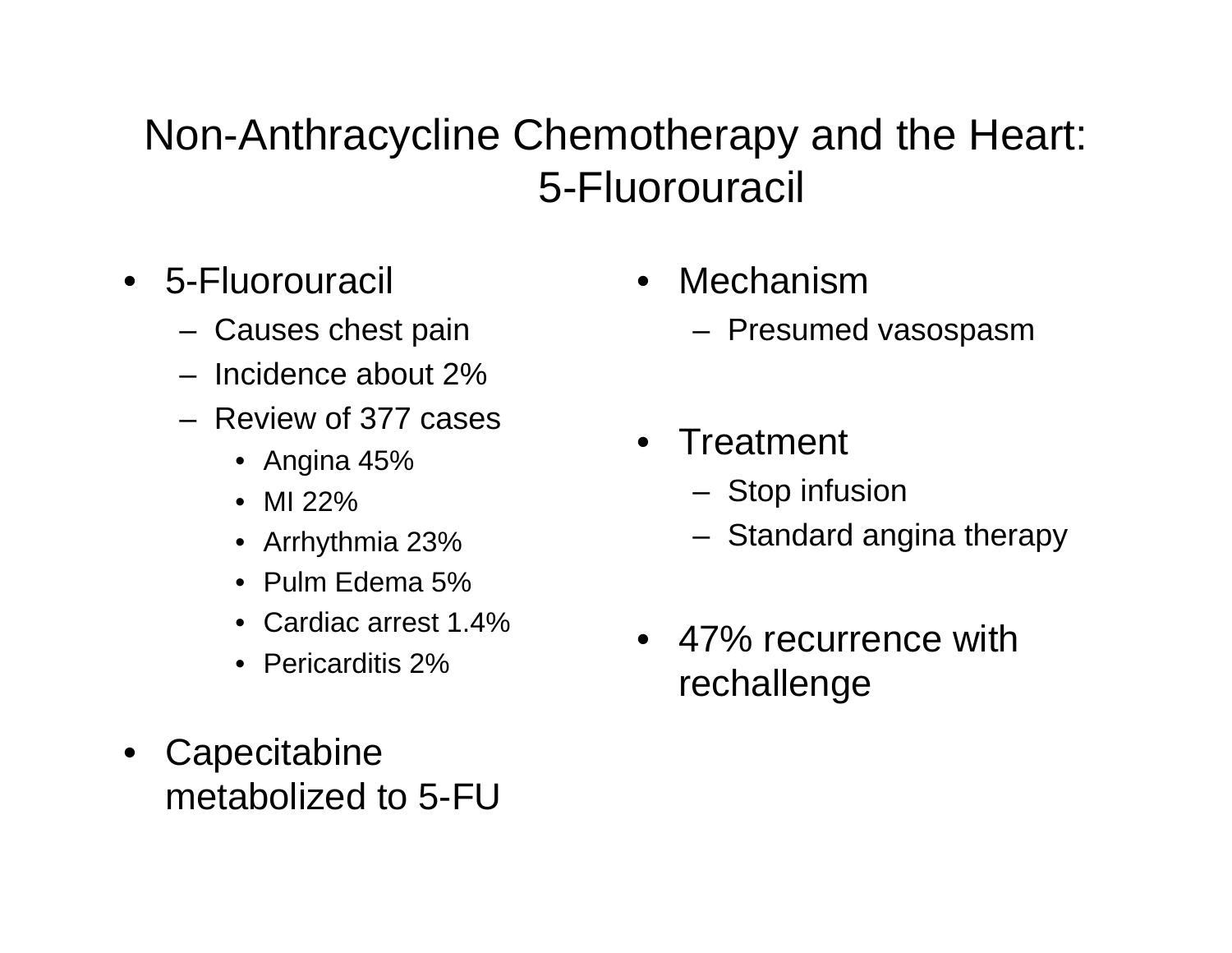#### Non-Anthracycline Chemotherapy and the Heart: 5-Fluorouracil

- 5-Fluorouracil
	- Causes chest pain
	- Incidence about 2%
	- Review of 377 cases
		- Angina 45%
		- MI 22%
		- Arrhythmia 23%
		- Pulm Edema 5%
		- Cardiac arrest 1.4%
		- Pericarditis 2%
- $\bullet$ **Capecitabine** metabolized to 5-FU
- • Mechanism
	- Presumed vasospasm
- $\bullet$ **Treatment** 
	- Stop infusion
	- Standard angina therapy
- 47% recurrence with rechallenge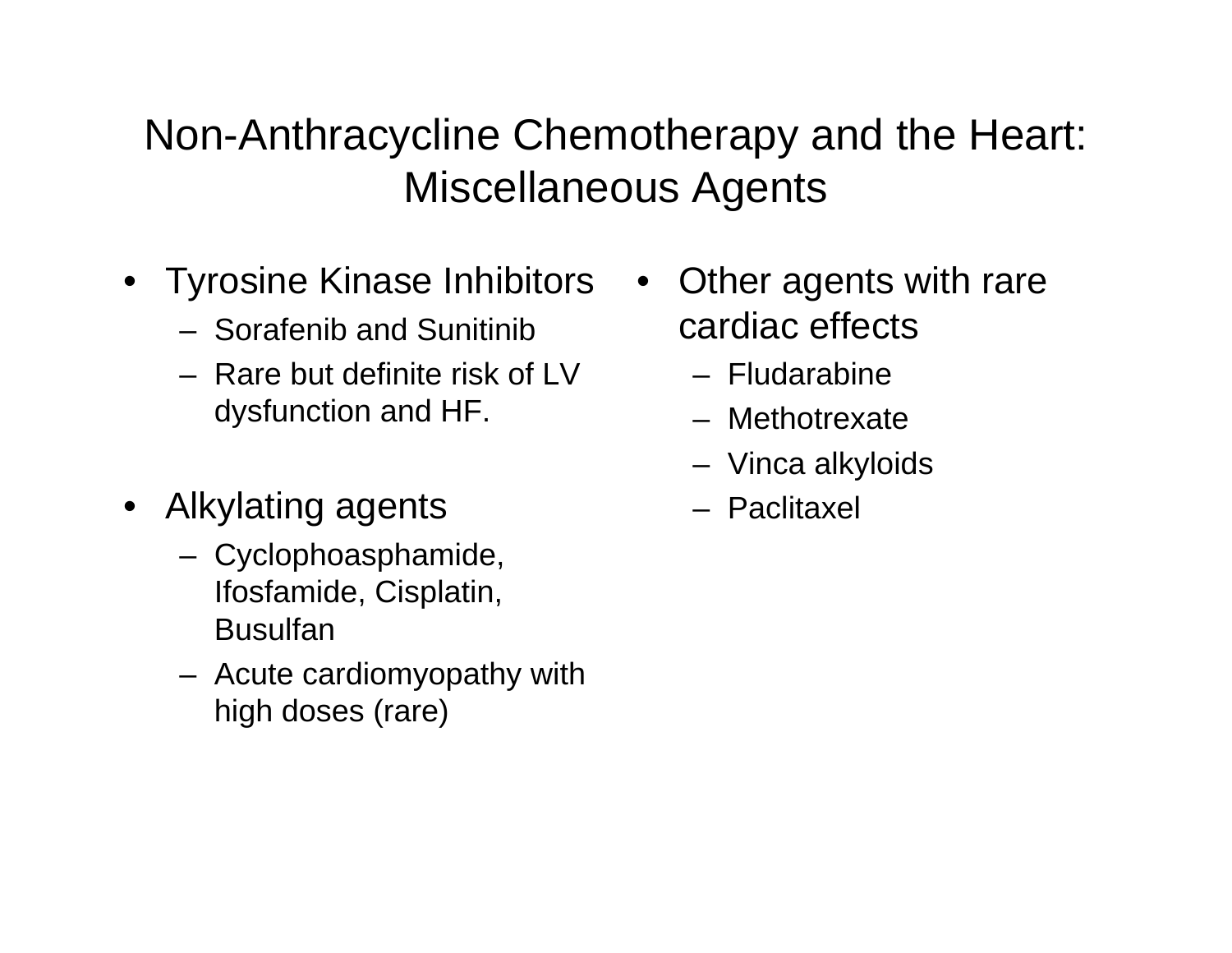#### Non-Anthracycline Chemotherapy and the Heart: Miscellaneous Agents

- Tyrosine Kinase Inhibitors
	- Sorafenib and Sunitinib
	- Rare but definite risk of LV dysfunction and HF.
- Alkylating agents
	- Cyclophoasphamide, Ifosfamide, Cisplatin, Busulfan
	- Acute cardiomyopathy with high doses (rare)
- Other agents with rare cardiac effects
	- Fludarabine
	- Methotrexate
	- Vinca alkyloids
	- Paclitaxel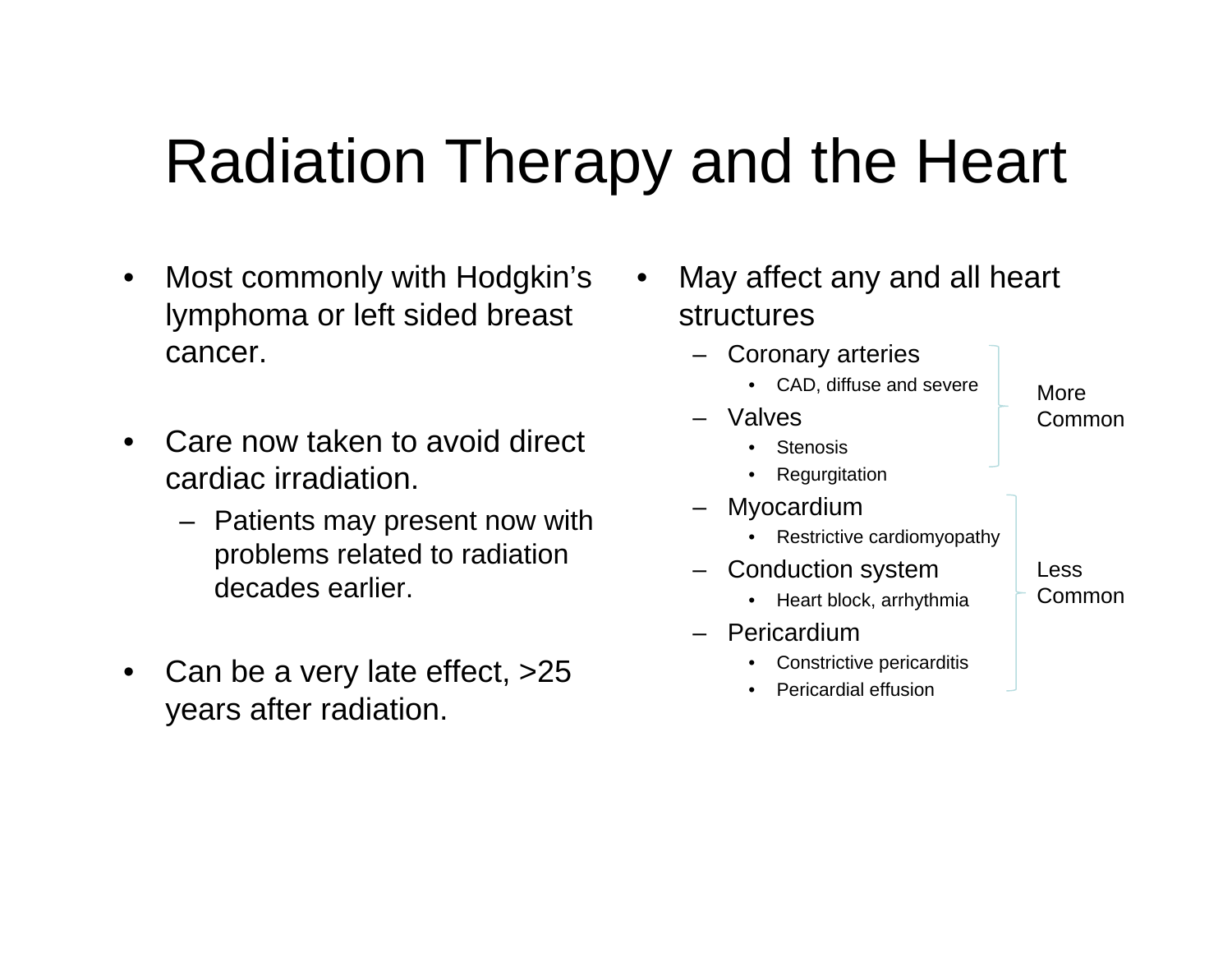## Radiation Therapy and the Heart

- $\bullet$  Most commonly with Hodgkin's lymphoma or left sided breast cancer.
- $\bullet$  Care now taken to avoid direct cardiac irradiation.
	- Patients may present now with problems related to radiation decades earlier.
- $\bullet$  Can be a very late effect, >25 years after radiation.
- • May affect any and all heart structures
	- Coronary arteries
		- CAD, diffuse and severe
	- Valves•
		- Stenosis
		- •Regurgitation
	- – Myocardium
		- •Restrictive cardiomyopathy
	- – Conduction system
		- Heart block, arrhythmia
	- Pericardium
		- •Constrictive pericarditis
		- •Pericardial effusion

Less

More

Common

- Common
-